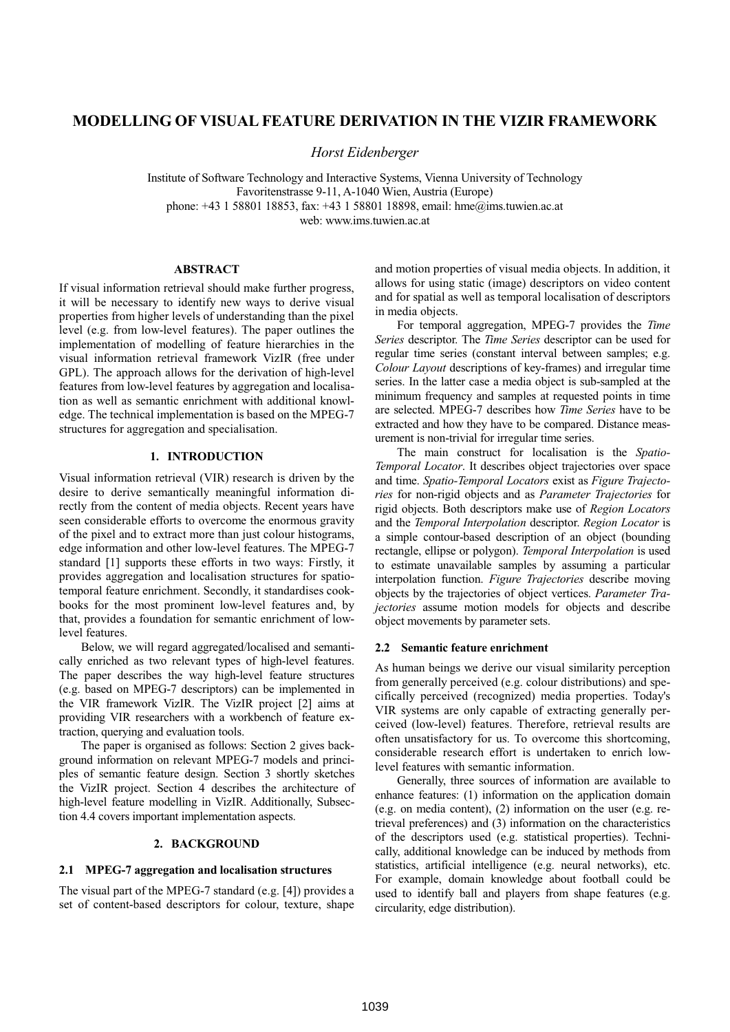# **MODELLING OF VISUAL FEATURE DERIVATION IN THE VIZIR FRAMEWORK**

*Horst Eidenberger* 

Institute of Software Technology and Interactive Systems, Vienna University of Technology Favoritenstrasse 9-11, A-1040 Wien, Austria (Europe) phone: +43 1 58801 18853, fax: +43 1 58801 18898, email: hme@ims.tuwien.ac.at web: www.ims.tuwien.ac.at

# **ABSTRACT**

If visual information retrieval should make further progress, it will be necessary to identify new ways to derive visual properties from higher levels of understanding than the pixel level (e.g. from low-level features). The paper outlines the implementation of modelling of feature hierarchies in the visual information retrieval framework VizIR (free under GPL). The approach allows for the derivation of high-level features from low-level features by aggregation and localisation as well as semantic enrichment with additional knowledge. The technical implementation is based on the MPEG-7 structures for aggregation and specialisation.

## **1. INTRODUCTION**

Visual information retrieval (VIR) research is driven by the desire to derive semantically meaningful information directly from the content of media objects. Recent years have seen considerable efforts to overcome the enormous gravity of the pixel and to extract more than just colour histograms, edge information and other low-level features. The MPEG-7 standard [1] supports these efforts in two ways: Firstly, it provides aggregation and localisation structures for spatiotemporal feature enrichment. Secondly, it standardises cookbooks for the most prominent low-level features and, by that, provides a foundation for semantic enrichment of lowlevel features.

Below, we will regard aggregated/localised and semantically enriched as two relevant types of high-level features. The paper describes the way high-level feature structures (e.g. based on MPEG-7 descriptors) can be implemented in the VIR framework VizIR. The VizIR project [2] aims at providing VIR researchers with a workbench of feature extraction, querying and evaluation tools.

The paper is organised as follows: Section 2 gives background information on relevant MPEG-7 models and principles of semantic feature design. Section 3 shortly sketches the VizIR project. Section 4 describes the architecture of high-level feature modelling in VizIR. Additionally, Subsection 4.4 covers important implementation aspects.

# **2. BACKGROUND**

#### **2.1 MPEG-7 aggregation and localisation structures**

The visual part of the MPEG-7 standard (e.g. [4]) provides a set of content-based descriptors for colour, texture, shape and motion properties of visual media objects. In addition, it allows for using static (image) descriptors on video content and for spatial as well as temporal localisation of descriptors in media objects.

For temporal aggregation, MPEG-7 provides the *Time Series* descriptor. The *Time Series* descriptor can be used for regular time series (constant interval between samples; e.g. *Colour Layout* descriptions of key-frames) and irregular time series. In the latter case a media object is sub-sampled at the minimum frequency and samples at requested points in time are selected. MPEG-7 describes how *Time Series* have to be extracted and how they have to be compared. Distance measurement is non-trivial for irregular time series.

The main construct for localisation is the *Spatio-Temporal Locator*. It describes object trajectories over space and time. *Spatio-Temporal Locators* exist as *Figure Trajectories* for non-rigid objects and as *Parameter Trajectories* for rigid objects. Both descriptors make use of *Region Locators* and the *Temporal Interpolation* descriptor. *Region Locator* is a simple contour-based description of an object (bounding rectangle, ellipse or polygon). *Temporal Interpolation* is used to estimate unavailable samples by assuming a particular interpolation function. *Figure Trajectories* describe moving objects by the trajectories of object vertices. *Parameter Trajectories* assume motion models for objects and describe object movements by parameter sets.

#### **2.2 Semantic feature enrichment**

As human beings we derive our visual similarity perception from generally perceived (e.g. colour distributions) and specifically perceived (recognized) media properties. Today's VIR systems are only capable of extracting generally perceived (low-level) features. Therefore, retrieval results are often unsatisfactory for us. To overcome this shortcoming, considerable research effort is undertaken to enrich lowlevel features with semantic information.

Generally, three sources of information are available to enhance features: (1) information on the application domain (e.g. on media content), (2) information on the user (e.g. retrieval preferences) and (3) information on the characteristics of the descriptors used (e.g. statistical properties). Technically, additional knowledge can be induced by methods from statistics, artificial intelligence (e.g. neural networks), etc. For example, domain knowledge about football could be used to identify ball and players from shape features (e.g. circularity, edge distribution).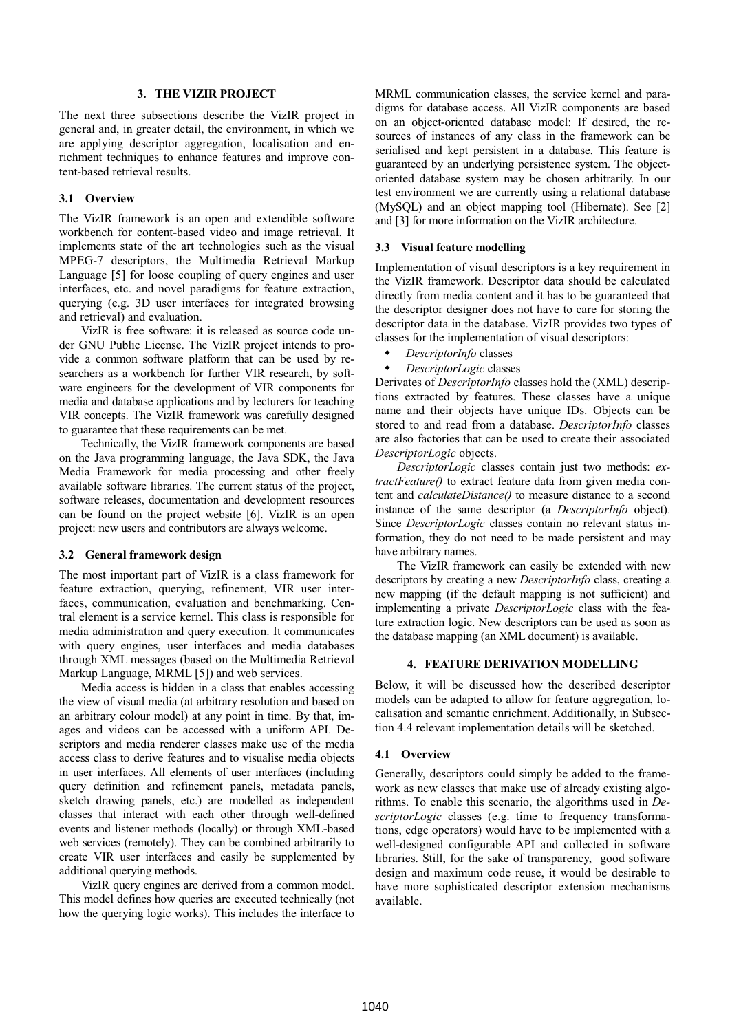## **3. THE VIZIR PROJECT**

The next three subsections describe the VizIR project in general and, in greater detail, the environment, in which we are applying descriptor aggregation, localisation and enrichment techniques to enhance features and improve content-based retrieval results.

# **3.1 Overview**

The VizIR framework is an open and extendible software workbench for content-based video and image retrieval. It implements state of the art technologies such as the visual MPEG-7 descriptors, the Multimedia Retrieval Markup Language [5] for loose coupling of query engines and user interfaces, etc. and novel paradigms for feature extraction, querying (e.g. 3D user interfaces for integrated browsing and retrieval) and evaluation.

VizIR is free software: it is released as source code under GNU Public License. The VizIR project intends to provide a common software platform that can be used by researchers as a workbench for further VIR research, by software engineers for the development of VIR components for media and database applications and by lecturers for teaching VIR concepts. The VizIR framework was carefully designed to guarantee that these requirements can be met.

Technically, the VizIR framework components are based on the Java programming language, the Java SDK, the Java Media Framework for media processing and other freely available software libraries. The current status of the project, software releases, documentation and development resources can be found on the project website [6]. VizIR is an open project: new users and contributors are always welcome.

#### **3.2 General framework design**

The most important part of VizIR is a class framework for feature extraction, querying, refinement, VIR user interfaces, communication, evaluation and benchmarking. Central element is a service kernel. This class is responsible for media administration and query execution. It communicates with query engines, user interfaces and media databases through XML messages (based on the Multimedia Retrieval Markup Language, MRML [5]) and web services.

Media access is hidden in a class that enables accessing the view of visual media (at arbitrary resolution and based on an arbitrary colour model) at any point in time. By that, images and videos can be accessed with a uniform API. Descriptors and media renderer classes make use of the media access class to derive features and to visualise media objects in user interfaces. All elements of user interfaces (including query definition and refinement panels, metadata panels, sketch drawing panels, etc.) are modelled as independent classes that interact with each other through well-defined events and listener methods (locally) or through XML-based web services (remotely). They can be combined arbitrarily to create VIR user interfaces and easily be supplemented by additional querying methods.

VizIR query engines are derived from a common model. This model defines how queries are executed technically (not how the querying logic works). This includes the interface to MRML communication classes, the service kernel and paradigms for database access. All VizIR components are based on an object-oriented database model: If desired, the resources of instances of any class in the framework can be serialised and kept persistent in a database. This feature is guaranteed by an underlying persistence system. The objectoriented database system may be chosen arbitrarily. In our test environment we are currently using a relational database (MySQL) and an object mapping tool (Hibernate). See [2] and [3] for more information on the VizIR architecture.

#### **3.3 Visual feature modelling**

Implementation of visual descriptors is a key requirement in the VizIR framework. Descriptor data should be calculated directly from media content and it has to be guaranteed that the descriptor designer does not have to care for storing the descriptor data in the database. VizIR provides two types of classes for the implementation of visual descriptors:

- *DescriptorInfo* classes
- *DescriptorLogic* classes

Derivates of *DescriptorInfo* classes hold the (XML) descriptions extracted by features. These classes have a unique name and their objects have unique IDs. Objects can be stored to and read from a database. *DescriptorInfo* classes are also factories that can be used to create their associated *DescriptorLogic* objects.

*DescriptorLogic* classes contain just two methods: *extractFeature()* to extract feature data from given media content and *calculateDistance()* to measure distance to a second instance of the same descriptor (a *DescriptorInfo* object). Since *DescriptorLogic* classes contain no relevant status information, they do not need to be made persistent and may have arbitrary names.

The VizIR framework can easily be extended with new descriptors by creating a new *DescriptorInfo* class, creating a new mapping (if the default mapping is not sufficient) and implementing a private *DescriptorLogic* class with the feature extraction logic. New descriptors can be used as soon as the database mapping (an XML document) is available.

#### **4. FEATURE DERIVATION MODELLING**

Below, it will be discussed how the described descriptor models can be adapted to allow for feature aggregation, localisation and semantic enrichment. Additionally, in Subsection 4.4 relevant implementation details will be sketched.

#### **4.1 Overview**

Generally, descriptors could simply be added to the framework as new classes that make use of already existing algorithms. To enable this scenario, the algorithms used in *DescriptorLogic* classes (e.g. time to frequency transformations, edge operators) would have to be implemented with a well-designed configurable API and collected in software libraries. Still, for the sake of transparency, good software design and maximum code reuse, it would be desirable to have more sophisticated descriptor extension mechanisms available.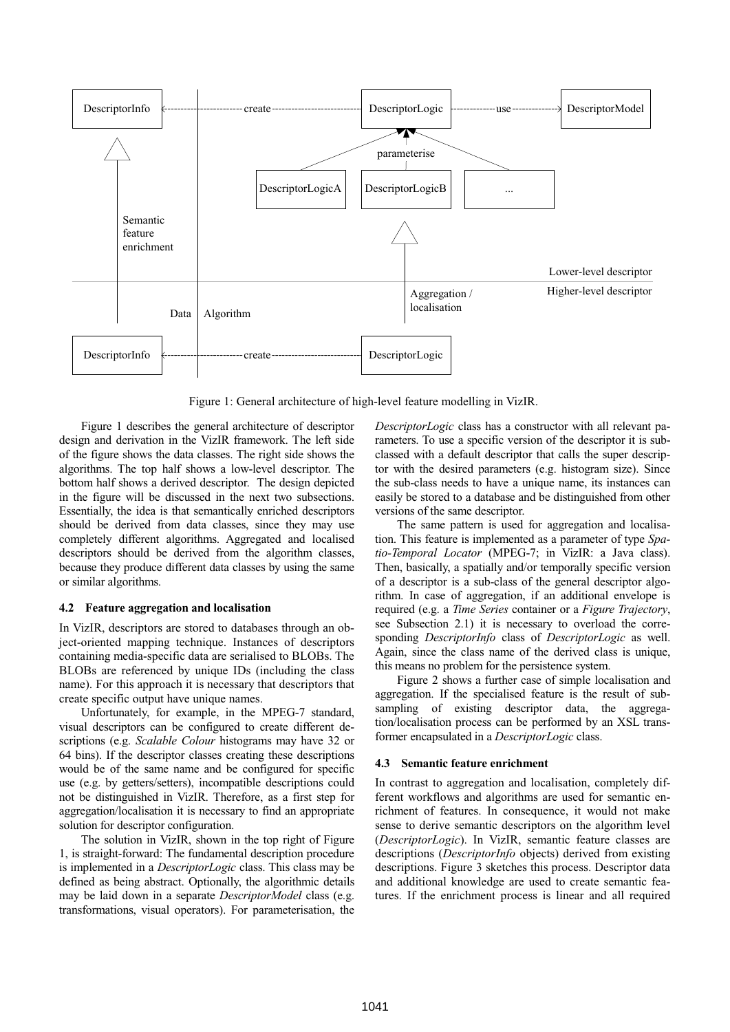

Figure 1: General architecture of high-level feature modelling in VizIR.

Figure 1 describes the general architecture of descriptor design and derivation in the VizIR framework. The left side of the figure shows the data classes. The right side shows the algorithms. The top half shows a low-level descriptor. The bottom half shows a derived descriptor. The design depicted in the figure will be discussed in the next two subsections. Essentially, the idea is that semantically enriched descriptors should be derived from data classes, since they may use completely different algorithms. Aggregated and localised descriptors should be derived from the algorithm classes, because they produce different data classes by using the same or similar algorithms.

## **4.2 Feature aggregation and localisation**

In VizIR, descriptors are stored to databases through an object-oriented mapping technique. Instances of descriptors containing media-specific data are serialised to BLOBs. The BLOBs are referenced by unique IDs (including the class name). For this approach it is necessary that descriptors that create specific output have unique names.

Unfortunately, for example, in the MPEG-7 standard, visual descriptors can be configured to create different descriptions (e.g. *Scalable Colour* histograms may have 32 or 64 bins). If the descriptor classes creating these descriptions would be of the same name and be configured for specific use (e.g. by getters/setters), incompatible descriptions could not be distinguished in VizIR. Therefore, as a first step for aggregation/localisation it is necessary to find an appropriate solution for descriptor configuration.

The solution in VizIR, shown in the top right of Figure 1, is straight-forward: The fundamental description procedure is implemented in a *DescriptorLogic* class. This class may be defined as being abstract. Optionally, the algorithmic details may be laid down in a separate *DescriptorModel* class (e.g. transformations, visual operators). For parameterisation, the *DescriptorLogic* class has a constructor with all relevant parameters. To use a specific version of the descriptor it is subclassed with a default descriptor that calls the super descriptor with the desired parameters (e.g. histogram size). Since the sub-class needs to have a unique name, its instances can easily be stored to a database and be distinguished from other versions of the same descriptor.

The same pattern is used for aggregation and localisation. This feature is implemented as a parameter of type *Spatio-Temporal Locator* (MPEG-7; in VizIR: a Java class). Then, basically, a spatially and/or temporally specific version of a descriptor is a sub-class of the general descriptor algorithm. In case of aggregation, if an additional envelope is required (e.g. a *Time Series* container or a *Figure Trajectory*, see Subsection 2.1) it is necessary to overload the corresponding *DescriptorInfo* class of *DescriptorLogic* as well. Again, since the class name of the derived class is unique, this means no problem for the persistence system.

Figure 2 shows a further case of simple localisation and aggregation. If the specialised feature is the result of subsampling of existing descriptor data, the aggregation/localisation process can be performed by an XSL transformer encapsulated in a *DescriptorLogic* class.

# **4.3 Semantic feature enrichment**

In contrast to aggregation and localisation, completely different workflows and algorithms are used for semantic enrichment of features. In consequence, it would not make sense to derive semantic descriptors on the algorithm level (*DescriptorLogic*). In VizIR, semantic feature classes are descriptions (*DescriptorInfo* objects) derived from existing descriptions. Figure 3 sketches this process. Descriptor data and additional knowledge are used to create semantic features. If the enrichment process is linear and all required